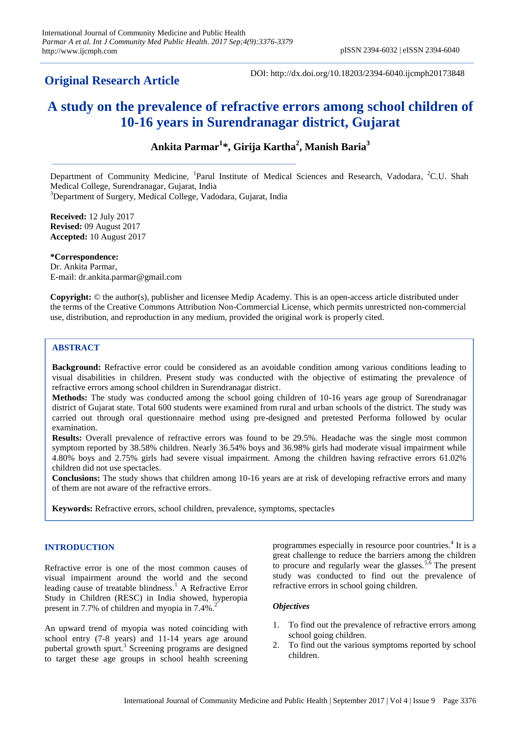# **Original Research Article**

DOI: http://dx.doi.org/10.18203/2394-6040.ijcmph20173848

# **A study on the prevalence of refractive errors among school children of 10-16 years in Surendranagar district, Gujarat**

**Ankita Parmar<sup>1</sup> \*, Girija Kartha<sup>2</sup> , Manish Baria<sup>3</sup>**

Department of Community Medicine, <sup>1</sup>Parul Institute of Medical Sciences and Research, Vadodara, <sup>2</sup>C.U. Shah Medical College, Surendranagar, Gujarat, India <sup>3</sup>Department of Surgery, Medical College, Vadodara, Gujarat, India

**Received:** 12 July 2017 **Revised:** 09 August 2017 **Accepted:** 10 August 2017

**\*Correspondence:** Dr. Ankita Parmar, E-mail: dr.ankita.parmar@gmail.com

**Copyright:** © the author(s), publisher and licensee Medip Academy. This is an open-access article distributed under the terms of the Creative Commons Attribution Non-Commercial License, which permits unrestricted non-commercial use, distribution, and reproduction in any medium, provided the original work is properly cited.

# **ABSTRACT**

**Background:** Refractive error could be considered as an avoidable condition among various conditions leading to visual disabilities in children. Present study was conducted with the objective of estimating the prevalence of refractive errors among school children in Surendranagar district.

**Methods:** The study was conducted among the school going children of 10-16 years age group of Surendranagar district of Gujarat state. Total 600 students were examined from rural and urban schools of the district. The study was carried out through oral questionnaire method using pre-designed and pretested Performa followed by ocular examination.

**Results:** Overall prevalence of refractive errors was found to be 29.5%. Headache was the single most common symptom reported by 38.58% children. Nearly 36.54% boys and 36.98% girls had moderate visual impairment while 4.80% boys and 2.75% girls had severe visual impairment. Among the children having refractive errors 61.02% children did not use spectacles.

**Conclusions:** The study shows that children among 10-16 years are at risk of developing refractive errors and many of them are not aware of the refractive errors.

**Keywords:** Refractive errors, school children, prevalence, symptoms, spectacles

#### **INTRODUCTION**

Refractive error is one of the most common causes of visual impairment around the world and the second leading cause of treatable blindness.<sup>1</sup> A Refractive Error Study in Children (RESC) in India showed, hyperopia present in 7.7% of children and myopia in  $7.4\%$ .

An upward trend of myopia was noted coinciding with school entry (7-8 years) and 11-14 years age around pubertal growth spurt.<sup>3</sup> Screening programs are designed to target these age groups in school health screening

programmes especially in resource poor countries.<sup>4</sup> It is a great challenge to reduce the barriers among the children to procure and regularly wear the glasses.  $5,6$  The present study was conducted to find out the prevalence of refractive errors in school going children.

# *Objectives*

- 1. To find out the prevalence of refractive errors among school going children.
- 2. To find out the various symptoms reported by school children.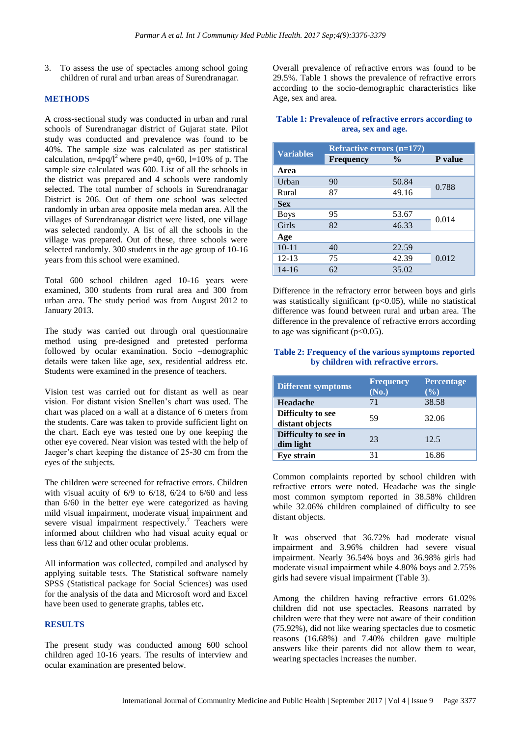3. To assess the use of spectacles among school going children of rural and urban areas of Surendranagar.

## **METHODS**

A cross-sectional study was conducted in urban and rural schools of Surendranagar district of Gujarat state. Pilot study was conducted and prevalence was found to be 40%. The sample size was calculated as per statistical calculation,  $n=4pq/l^2$  where  $p=40$ ,  $q=60$ ,  $l=10%$  of p. The sample size calculated was 600. List of all the schools in the district was prepared and 4 schools were randomly selected. The total number of schools in Surendranagar District is 206. Out of them one school was selected randomly in urban area opposite mela medan area. All the villages of Surendranagar district were listed, one village was selected randomly. A list of all the schools in the village was prepared. Out of these, three schools were selected randomly. 300 students in the age group of 10-16 years from this school were examined.

Total 600 school children aged 10-16 years were examined, 300 students from rural area and 300 from urban area. The study period was from August 2012 to January 2013.

The study was carried out through oral questionnaire method using pre-designed and pretested performa followed by ocular examination. Socio –demographic details were taken like age, sex, residential address etc. Students were examined in the presence of teachers.

Vision test was carried out for distant as well as near vision. For distant vision Snellen's chart was used. The chart was placed on a wall at a distance of 6 meters from the students. Care was taken to provide sufficient light on the chart. Each eye was tested one by one keeping the other eye covered. Near vision was tested with the help of Jaeger's chart keeping the distance of 25-30 cm from the eyes of the subjects.

The children were screened for refractive errors. Children with visual acuity of 6/9 to 6/18, 6/24 to 6/60 and less than 6/60 in the better eye were categorized as having mild visual impairment, moderate visual impairment and severe visual impairment respectively.<sup>7</sup> Teachers were informed about children who had visual acuity equal or less than 6/12 and other ocular problems.

All information was collected, compiled and analysed by applying suitable tests. The Statistical software namely SPSS (Statistical package for Social Sciences) was used for the analysis of the data and Microsoft word and Excel have been used to generate graphs, tables etc**.**

#### **RESULTS**

The present study was conducted among 600 school children aged 10-16 years. The results of interview and ocular examination are presented below.

Overall prevalence of refractive errors was found to be 29.5%. Table 1 shows the prevalence of refractive errors according to the socio-demographic characteristics like Age, sex and area.

#### **Table 1: Prevalence of refractive errors according to area, sex and age.**

| <b>Variables</b> | <b>Refractive errors (n=177)</b> |               |         |  |
|------------------|----------------------------------|---------------|---------|--|
|                  | <b>Frequency</b>                 | $\frac{0}{0}$ | P value |  |
| Area             |                                  |               |         |  |
| Urban            | 90                               | 50.84         | 0.788   |  |
| Rural            | 87                               | 49.16         |         |  |
| <b>Sex</b>       |                                  |               |         |  |
| <b>Boys</b>      | 95                               | 53.67         | 0.014   |  |
| Girls            | 82                               | 46.33         |         |  |
| Age              |                                  |               |         |  |
| $10 - 11$        | 40                               | 22.59         |         |  |
| $12 - 13$        | 75                               | 42.39         | 0.012   |  |
| $14 - 16$        | 62                               | 35.02         |         |  |

Difference in the refractory error between boys and girls was statistically significant ( $p<0.05$ ), while no statistical difference was found between rural and urban area. The difference in the prevalence of refractive errors according to age was significant ( $p<0.05$ ).

# **Table 2: Frequency of the various symptoms reported by children with refractive errors.**

| <b>Different symptoms</b>                   | <b>Frequency</b><br>(No.) | <b>Percentage</b><br>$(\%)$ |
|---------------------------------------------|---------------------------|-----------------------------|
| Headache                                    | 71                        | 38.58                       |
| <b>Difficulty</b> to see<br>distant objects | 59                        | 32.06                       |
| Difficulty to see in<br>dim light           | 23                        | 12.5                        |
| <b>Eye strain</b>                           | 31                        | 16.86                       |

Common complaints reported by school children with refractive errors were noted. Headache was the single most common symptom reported in 38.58% children while 32.06% children complained of difficulty to see distant objects.

It was observed that 36.72% had moderate visual impairment and 3.96% children had severe visual impairment. Nearly 36.54% boys and 36.98% girls had moderate visual impairment while 4.80% boys and 2.75% girls had severe visual impairment (Table 3).

Among the children having refractive errors 61.02% children did not use spectacles. Reasons narrated by children were that they were not aware of their condition (75.92%), did not like wearing spectacles due to cosmetic reasons (16.68%) and 7.40% children gave multiple answers like their parents did not allow them to wear, wearing spectacles increases the number.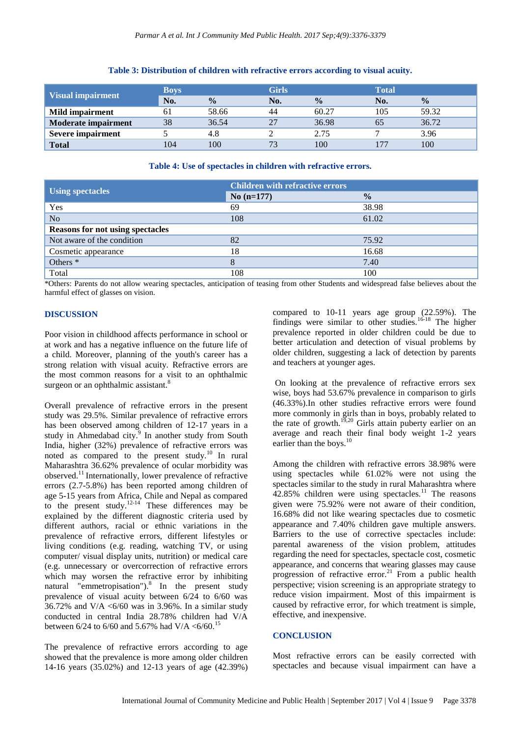| <b>Visual impairment</b>   | <b>Boys</b> |               | <b>Girls</b> |               | <b>Total</b> |               |
|----------------------------|-------------|---------------|--------------|---------------|--------------|---------------|
|                            | No.         | $\frac{0}{0}$ | No.          | $\frac{0}{0}$ | No.          | $\frac{0}{0}$ |
| <b>Mild impairment</b>     | 61          | 58.66         | 44           | 60.27         | 105          | 59.32         |
| <b>Moderate impairment</b> | 38          | 36.54         | 27           | 36.98         | 60           | 36.72         |
| <b>Severe impairment</b>   |             | 4.8           |              | 2.75          |              | 3.96          |
| <b>Total</b>               | 104         | 100           | 73           | 100           | 177          | 100           |

#### **Table 3: Distribution of children with refractive errors according to visual acuity.**

#### **Table 4: Use of spectacles in children with refractive errors.**

|                                         | <b>Children with refractive errors</b> |               |
|-----------------------------------------|----------------------------------------|---------------|
| <b>Using spectacles</b>                 | $No(n=177)$                            | $\frac{0}{0}$ |
| Yes                                     | 69                                     | 38.98         |
| N <sub>o</sub>                          | 108                                    | 61.02         |
| <b>Reasons for not using spectacles</b> |                                        |               |
| Not aware of the condition              | 82                                     | 75.92         |
| Cosmetic appearance                     | 18                                     | 16.68         |
| Others <sup>*</sup>                     | 8                                      | 7.40          |
| Total                                   | 108                                    | 100           |

\*Others: Parents do not allow wearing spectacles, anticipation of teasing from other Students and widespread false believes about the harmful effect of glasses on vision.

#### **DISCUSSION**

Poor vision in childhood affects performance in school or at work and has a negative influence on the future life of a child. Moreover, planning of the youth's career has a strong relation with visual acuity. Refractive errors are the most common reasons for a visit to an ophthalmic surgeon or an ophthalmic assistant.<sup>8</sup>

Overall prevalence of refractive errors in the present study was 29.5%. Similar prevalence of refractive errors has been observed among children of 12-17 years in a study in Ahmedabad city.<sup>9</sup> In another study from South India, higher (32%) prevalence of refractive errors was noted as compared to the present study.<sup>10</sup> In rural Maharashtra 36.62% prevalence of ocular morbidity was observed.<sup>11</sup>Internationally, lower prevalence of refractive errors (2.7-5.8%) has been reported among children of age 5-15 years from Africa, Chile and Nepal as compared to the present study. $12-14$  These differences may be explained by the different diagnostic criteria used by different authors, racial or ethnic variations in the prevalence of refractive errors, different lifestyles or living conditions (e.g. reading, watching TV, or using computer/ visual display units, nutrition) or medical care (e.g. unnecessary or overcorrection of refractive errors which may worsen the refractive error by inhibiting natural "emmetropisation"). $8$  In the present study prevalence of visual acuity between 6/24 to 6/60 was 36.72% and V/A  $\lt6/60$  was in 3.96%. In a similar study conducted in central India 28.78% children had V/A between 6/24 to 6/60 and 5.67% had V/A  $\lt$  6/60.<sup>15</sup>

The prevalence of refractive errors according to age showed that the prevalence is more among older children 14-16 years (35.02%) and 12-13 years of age (42.39%)

compared to 10-11 years age group (22.59%). The findings were similar to other studies.16-18 The higher prevalence reported in older children could be due to better articulation and detection of visual problems by older children, suggesting a lack of detection by parents and teachers at younger ages.

On looking at the prevalence of refractive errors sex wise, boys had 53.67% prevalence in comparison to girls (46.33%).In other studies refractive errors were found more commonly in girls than in boys, probably related to the rate of growth.<sup>19,20</sup> Girls attain puberty earlier on an average and reach their final body weight 1-2 years earlier than the boys.<sup>10</sup>

Among the children with refractive errors 38.98% were using spectacles while 61.02% were not using the spectacles similar to the study in rural Maharashtra where  $42.85\%$  children were using spectacles.<sup>11</sup> The reasons given were 75.92% were not aware of their condition, 16.68% did not like wearing spectacles due to cosmetic appearance and 7.40% children gave multiple answers. Barriers to the use of corrective spectacles include: parental awareness of the vision problem, attitudes regarding the need for spectacles, spectacle cost, cosmetic appearance, and concerns that wearing glasses may cause progression of refractive error.<sup>21</sup> From a public health perspective; vision screening is an appropriate strategy to reduce vision impairment. Most of this impairment is caused by refractive error, for which treatment is simple, effective, and inexpensive.

#### **CONCLUSION**

Most refractive errors can be easily corrected with spectacles and because visual impairment can have a